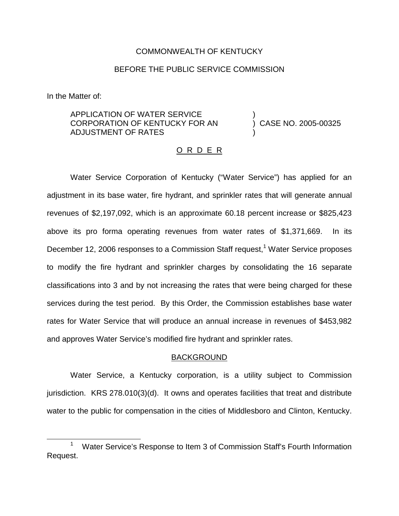### COMMONWEALTH OF KENTUCKY

### BEFORE THE PUBLIC SERVICE COMMISSION

In the Matter of:

## APPLICATION OF WATER SERVICE CORPORATION OF KENTUCKY FOR AN ADJUSTMENT OF RATES

) CASE NO. 2005-00325

)

)

### O R D E R

Water Service Corporation of Kentucky ("Water Service") has applied for an adjustment in its base water, fire hydrant, and sprinkler rates that will generate annual revenues of \$2,197,092, which is an approximate 60.18 percent increase or \$825,423 above its pro forma operating revenues from water rates of \$1,371,669. In its December 12, 2006 responses to a Commission Staff request,<sup>1</sup> Water Service proposes to modify the fire hydrant and sprinkler charges by consolidating the 16 separate classifications into 3 and by not increasing the rates that were being charged for these services during the test period. By this Order, the Commission establishes base water rates for Water Service that will produce an annual increase in revenues of \$453,982 and approves Water Service's modified fire hydrant and sprinkler rates.

#### BACKGROUND

Water Service, a Kentucky corporation, is a utility subject to Commission jurisdiction. KRS 278.010(3)(d). It owns and operates facilities that treat and distribute water to the public for compensation in the cities of Middlesboro and Clinton, Kentucky.

<sup>1</sup> Water Service's Response to Item 3 of Commission Staff's Fourth Information Request.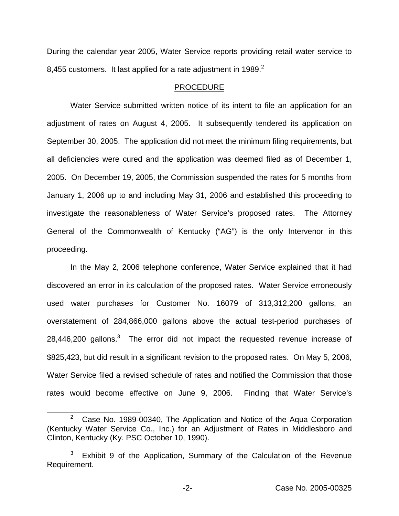During the calendar year 2005, Water Service reports providing retail water service to 8,455 customers. It last applied for a rate adjustment in 1989. $2^2$ 

### PROCEDURE

Water Service submitted written notice of its intent to file an application for an adjustment of rates on August 4, 2005. It subsequently tendered its application on September 30, 2005. The application did not meet the minimum filing requirements, but all deficiencies were cured and the application was deemed filed as of December 1, 2005. On December 19, 2005, the Commission suspended the rates for 5 months from January 1, 2006 up to and including May 31, 2006 and established this proceeding to investigate the reasonableness of Water Service's proposed rates. The Attorney General of the Commonwealth of Kentucky ("AG") is the only Intervenor in this proceeding.

In the May 2, 2006 telephone conference, Water Service explained that it had discovered an error in its calculation of the proposed rates. Water Service erroneously used water purchases for Customer No. 16079 of 313,312,200 gallons, an overstatement of 284,866,000 gallons above the actual test-period purchases of  $28,446,200$  gallons.<sup>3</sup> The error did not impact the requested revenue increase of \$825,423, but did result in a significant revision to the proposed rates. On May 5, 2006, Water Service filed a revised schedule of rates and notified the Commission that those rates would become effective on June 9, 2006. Finding that Water Service's

<sup>&</sup>lt;sup>2</sup> Case No. 1989-00340, The Application and Notice of the Aqua Corporation (Kentucky Water Service Co., Inc.) for an Adjustment of Rates in Middlesboro and Clinton, Kentucky (Ky. PSC October 10, 1990).

Exhibit 9 of the Application, Summary of the Calculation of the Revenue Requirement.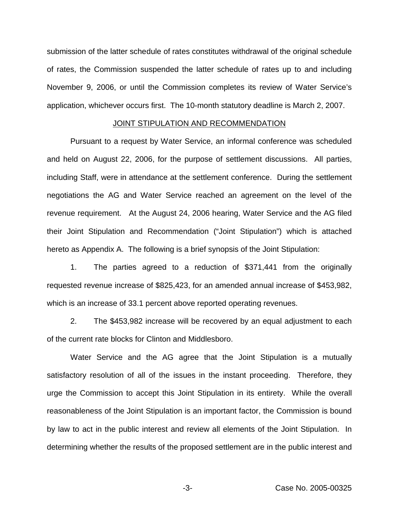submission of the latter schedule of rates constitutes withdrawal of the original schedule of rates, the Commission suspended the latter schedule of rates up to and including November 9, 2006, or until the Commission completes its review of Water Service's application, whichever occurs first. The 10-month statutory deadline is March 2, 2007.

### JOINT STIPULATION AND RECOMMENDATION

Pursuant to a request by Water Service, an informal conference was scheduled and held on August 22, 2006, for the purpose of settlement discussions. All parties, including Staff, were in attendance at the settlement conference. During the settlement negotiations the AG and Water Service reached an agreement on the level of the revenue requirement. At the August 24, 2006 hearing, Water Service and the AG filed their Joint Stipulation and Recommendation ("Joint Stipulation") which is attached hereto as Appendix A. The following is a brief synopsis of the Joint Stipulation:

1. The parties agreed to a reduction of \$371,441 from the originally requested revenue increase of \$825,423, for an amended annual increase of \$453,982, which is an increase of 33.1 percent above reported operating revenues.

2. The \$453,982 increase will be recovered by an equal adjustment to each of the current rate blocks for Clinton and Middlesboro.

Water Service and the AG agree that the Joint Stipulation is a mutually satisfactory resolution of all of the issues in the instant proceeding. Therefore, they urge the Commission to accept this Joint Stipulation in its entirety. While the overall reasonableness of the Joint Stipulation is an important factor, the Commission is bound by law to act in the public interest and review all elements of the Joint Stipulation. In determining whether the results of the proposed settlement are in the public interest and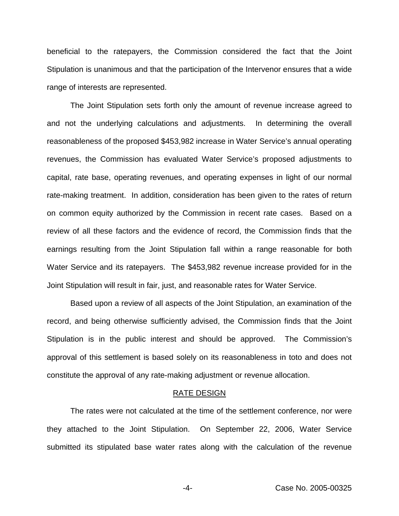beneficial to the ratepayers, the Commission considered the fact that the Joint Stipulation is unanimous and that the participation of the Intervenor ensures that a wide range of interests are represented.

The Joint Stipulation sets forth only the amount of revenue increase agreed to and not the underlying calculations and adjustments. In determining the overall reasonableness of the proposed \$453,982 increase in Water Service's annual operating revenues, the Commission has evaluated Water Service's proposed adjustments to capital, rate base, operating revenues, and operating expenses in light of our normal rate-making treatment. In addition, consideration has been given to the rates of return on common equity authorized by the Commission in recent rate cases. Based on a review of all these factors and the evidence of record, the Commission finds that the earnings resulting from the Joint Stipulation fall within a range reasonable for both Water Service and its ratepayers. The \$453,982 revenue increase provided for in the Joint Stipulation will result in fair, just, and reasonable rates for Water Service.

Based upon a review of all aspects of the Joint Stipulation, an examination of the record, and being otherwise sufficiently advised, the Commission finds that the Joint Stipulation is in the public interest and should be approved. The Commission's approval of this settlement is based solely on its reasonableness in toto and does not constitute the approval of any rate-making adjustment or revenue allocation.

#### RATE DESIGN

The rates were not calculated at the time of the settlement conference, nor were they attached to the Joint Stipulation. On September 22, 2006, Water Service submitted its stipulated base water rates along with the calculation of the revenue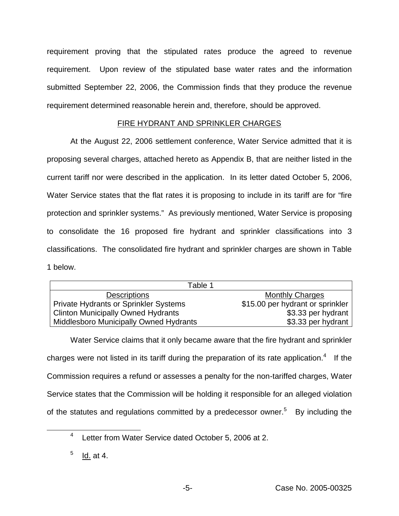requirement proving that the stipulated rates produce the agreed to revenue requirement. Upon review of the stipulated base water rates and the information submitted September 22, 2006, the Commission finds that they produce the revenue requirement determined reasonable herein and, therefore, should be approved.

## FIRE HYDRANT AND SPRINKLER CHARGES

At the August 22, 2006 settlement conference, Water Service admitted that it is proposing several charges, attached hereto as Appendix B, that are neither listed in the current tariff nor were described in the application. In its letter dated October 5, 2006, Water Service states that the flat rates it is proposing to include in its tariff are for "fire protection and sprinkler systems." As previously mentioned, Water Service is proposing to consolidate the 16 proposed fire hydrant and sprinkler classifications into 3 classifications. The consolidated fire hydrant and sprinkler charges are shown in Table 1 below.

| Table 1                                       |                                  |  |  |
|-----------------------------------------------|----------------------------------|--|--|
| <b>Descriptions</b>                           | <b>Monthly Charges</b>           |  |  |
| <b>Private Hydrants or Sprinkler Systems</b>  | \$15.00 per hydrant or sprinkler |  |  |
| <b>Clinton Municipally Owned Hydrants</b>     | \$3.33 per hydrant               |  |  |
| <b>Middlesboro Municipally Owned Hydrants</b> | \$3.33 per hydrant               |  |  |

Water Service claims that it only became aware that the fire hydrant and sprinkler charges were not listed in its tariff during the preparation of its rate application.<sup>4</sup> If the Commission requires a refund or assesses a penalty for the non-tariffed charges, Water Service states that the Commission will be holding it responsible for an alleged violation of the statutes and regulations committed by a predecessor owner.<sup>5</sup> By including the

<sup>4</sup> Letter from Water Service dated October 5, 2006 at 2.

 $<sup>5</sup>$  Id. at 4.</sup>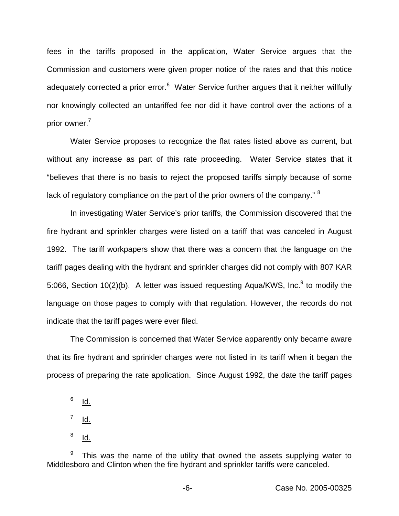fees in the tariffs proposed in the application, Water Service argues that the Commission and customers were given proper notice of the rates and that this notice adequately corrected a prior error. $6$  Water Service further argues that it neither willfully nor knowingly collected an untariffed fee nor did it have control over the actions of a prior owner.<sup>7</sup>

Water Service proposes to recognize the flat rates listed above as current, but without any increase as part of this rate proceeding. Water Service states that it "believes that there is no basis to reject the proposed tariffs simply because of some lack of regulatory compliance on the part of the prior owners of the company." <sup>8</sup>

In investigating Water Service's prior tariffs, the Commission discovered that the fire hydrant and sprinkler charges were listed on a tariff that was canceled in August 1992. The tariff workpapers show that there was a concern that the language on the tariff pages dealing with the hydrant and sprinkler charges did not comply with 807 KAR 5:066, Section  $10(2)(b)$ . A letter was issued requesting Aqua/KWS, Inc.<sup>9</sup> to modify the language on those pages to comply with that regulation. However, the records do not indicate that the tariff pages were ever filed.

The Commission is concerned that Water Service apparently only became aware that its fire hydrant and sprinkler charges were not listed in its tariff when it began the process of preparing the rate application. Since August 1992, the date the tariff pages

 $6$  Id.

 $<sup>7</sup>$  Id.</sup>

 $8$  Id.

 $9$  This was the name of the utility that owned the assets supplying water to Middlesboro and Clinton when the fire hydrant and sprinkler tariffs were canceled.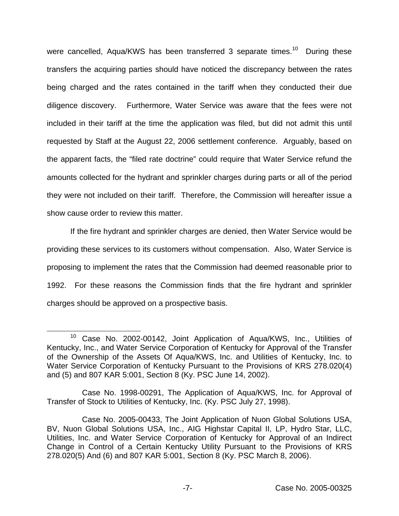were cancelled, Aqua/KWS has been transferred 3 separate times.<sup>10</sup> During these transfers the acquiring parties should have noticed the discrepancy between the rates being charged and the rates contained in the tariff when they conducted their due diligence discovery. Furthermore, Water Service was aware that the fees were not included in their tariff at the time the application was filed, but did not admit this until requested by Staff at the August 22, 2006 settlement conference. Arguably, based on the apparent facts, the "filed rate doctrine" could require that Water Service refund the amounts collected for the hydrant and sprinkler charges during parts or all of the period they were not included on their tariff. Therefore, the Commission will hereafter issue a show cause order to review this matter.

If the fire hydrant and sprinkler charges are denied, then Water Service would be providing these services to its customers without compensation. Also, Water Service is proposing to implement the rates that the Commission had deemed reasonable prior to 1992. For these reasons the Commission finds that the fire hydrant and sprinkler charges should be approved on a prospective basis.

<sup>10</sup> Case No. 2002-00142, Joint Application of Aqua/KWS, Inc., Utilities of Kentucky, Inc., and Water Service Corporation of Kentucky for Approval of the Transfer of the Ownership of the Assets Of Aqua/KWS, Inc. and Utilities of Kentucky, Inc. to Water Service Corporation of Kentucky Pursuant to the Provisions of KRS 278.020(4) and (5) and 807 KAR 5:001, Section 8 (Ky. PSC June 14, 2002).

Case No. 1998-00291, The Application of Aqua/KWS, Inc. for Approval of Transfer of Stock to Utilities of Kentucky, Inc. (Ky. PSC July 27, 1998).

Case No. 2005-00433, The Joint Application of Nuon Global Solutions USA, BV, Nuon Global Solutions USA, Inc., AIG Highstar Capital II, LP, Hydro Star, LLC, Utilities, Inc. and Water Service Corporation of Kentucky for Approval of an Indirect Change in Control of a Certain Kentucky Utility Pursuant to the Provisions of KRS 278.020(5) And (6) and 807 KAR 5:001, Section 8 (Ky. PSC March 8, 2006).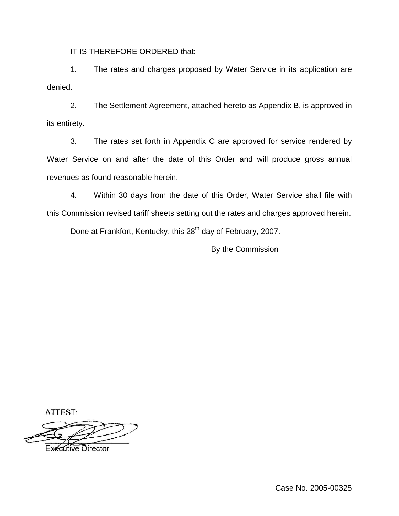IT IS THEREFORE ORDERED that:

1. The rates and charges proposed by Water Service in its application are denied.

2. The Settlement Agreement, attached hereto as Appendix B, is approved in its entirety.

3. The rates set forth in Appendix C are approved for service rendered by Water Service on and after the date of this Order and will produce gross annual revenues as found reasonable herein.

4. Within 30 days from the date of this Order, Water Service shall file with this Commission revised tariff sheets setting out the rates and charges approved herein.

Done at Frankfort, Kentucky, this 28<sup>th</sup> day of February, 2007.

By the Commission

ATTEST:

**Executive Director** 

Case No. 2005-00325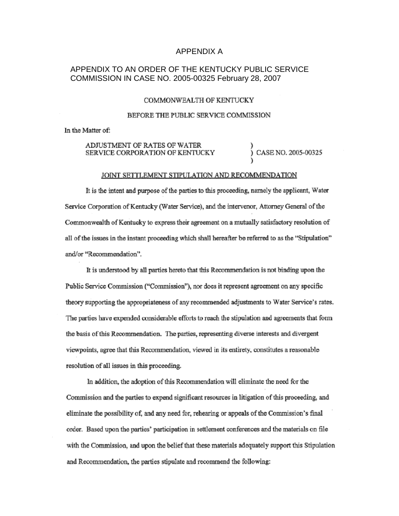### APPENDIX A

## APPENDIX TO AN ORDER OF THE KENTUCKY PUBLIC SERVICE COMMISSION IN CASE NO. 2005-00325 February 28, 2007

#### COMMONWEALTH OF KENTUCKY

#### BEFORE THE PUBLIC SERVICE COMMISSION

In the Matter of:

#### ADJUSTMENT OF RATES OF WATER CASE NO. 2005-00325 SERVICE CORPORATION OF KENTUCKY

#### JOINT SETTLEMENT STIPULATION AND RECOMMENDATION

It is the intent and purpose of the parties to this proceeding, namely the applicant, Water Service Corporation of Kentucky (Water Service), and the intervenor, Attorney General of the Commonwealth of Kentucky to express their agreement on a mutually satisfactory resolution of all of the issues in the instant proceeding which shall hereafter be referred to as the "Stipulation" and/or "Recommendation".

It is understood by all parties hereto that this Recommendation is not binding upon the Public Service Commission ("Commission"), nor does it represent agreement on any specific theory supporting the appropriateness of any recommended adjustments to Water Service's rates. The parties have expended considerable efforts to reach the stipulation and agreements that form the basis of this Recommendation. The parties, representing diverse interests and divergent viewpoints, agree that this Recommendation, viewed in its entirety, constitutes a reasonable resolution of all issues in this proceeding.

In addition, the adoption of this Recommendation will eliminate the need for the Commission and the parties to expend significant resources in litigation of this proceeding, and eliminate the possibility of, and any need for, rehearing or appeals of the Commission's final order. Based upon the parties' participation in settlement conferences and the materials on file with the Commission, and upon the belief that these materials adequately support this Stipulation and Recommendation, the parties stipulate and recommend the following: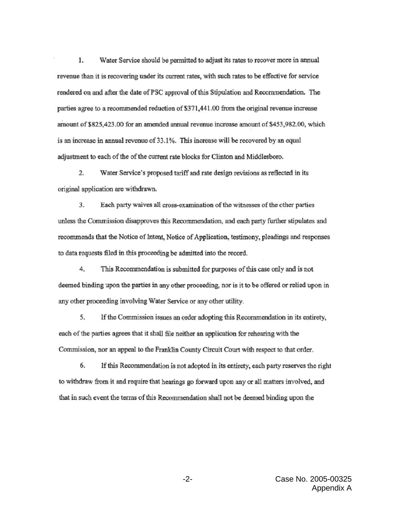1. Water Service should be permitted to adjust its rates to recover more in annual revenue than it is recovering under its current rates, with such rates to be effective for service rendered on and after the date of PSC approval of this Stipulation and Recommendation. The parties agree to a recommended reduction of \$371,441.00 from the original revenue increase amount of \$825,423.00 for an amended annual revenue increase amount of \$453,982.00, which is an increase in annual revenue of 33.1%. This increase will be recovered by an equal adjustment to each of the of the current rate blocks for Clinton and Middlesboro.

 $\overline{2}$ . Water Service's proposed tariff and rate design revisions as reflected in its original application are withdrawn.

3. Each party waives all cross-examination of the witnesses of the other parties unless the Commission disapproves this Recommendation, and each party further stipulates and recommends that the Notice of Intent, Notice of Application, testimony, pleadings and responses to data requests filed in this proceeding be admitted into the record.

4. This Recommendation is submitted for purposes of this case only and is not deemed binding upon the parties in any other proceeding, nor is it to be offered or relied upon in any other proceeding involving Water Service or any other utility.

5. If the Commission issues an order adopting this Recommendation in its entirety, each of the parties agrees that it shall file neither an application for rehearing with the Commission, nor an appeal to the Franklin County Circuit Court with respect to that order.

6. If this Recommendation is not adopted in its entirety, each party reserves the right to withdraw from it and require that hearings go forward upon any or all matters involved, and that in such event the terms of this Recommendation shall not be deemed binding upon the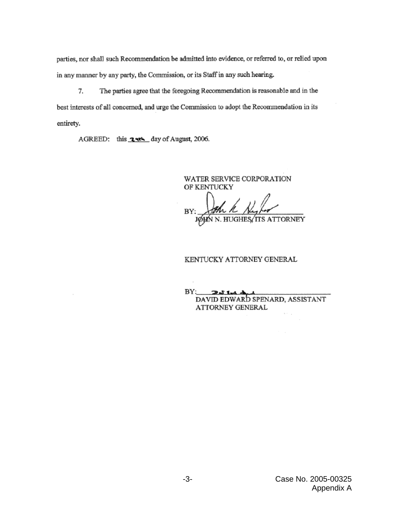parties, nor shall such Recommendation be admitted into evidence, or referred to, or relied upon in any manner by any party, the Commission, or its Staff in any such hearing.

7. The parties agree that the foregoing Recommendation is reasonable and in the best interests of all concerned, and urge the Commission to adopt the Recommendation in its entirety.

AGREED: this **2 4th** day of August, 2006.

WATER SERVICE CORPORATION OF KENTUCKY BY: JØHN N. HUGHES ITS ATTORNEY

#### KENTUCKY ATTORNEY GENERAL

 $BY:$  $231+1$ DAVID EDWARD SPENARD, ASSISTANT ATTORNEY GENERAL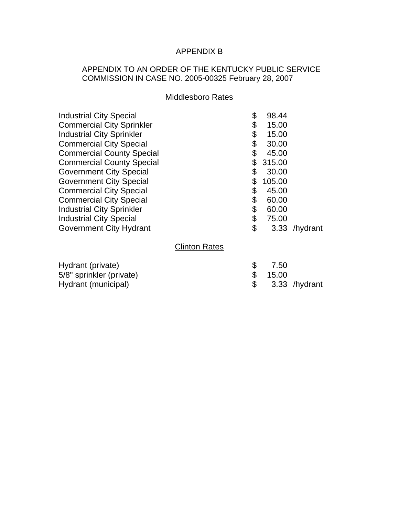# APPENDIX B

## APPENDIX TO AN ORDER OF THE KENTUCKY PUBLIC SERVICE COMMISSION IN CASE NO. 2005-00325 February 28, 2007

## Middlesboro Rates

| <b>Industrial City Special</b><br><b>Commercial City Sprinkler</b> |                      | \$<br>\$ | 98.44<br>15.00 |               |
|--------------------------------------------------------------------|----------------------|----------|----------------|---------------|
| <b>Industrial City Sprinkler</b>                                   |                      | \$<br>\$ | 15.00          |               |
| <b>Commercial City Special</b>                                     |                      |          | 30.00          |               |
| <b>Commercial County Special</b>                                   |                      | \$       | 45.00          |               |
| <b>Commercial County Special</b>                                   |                      | \$       | 315.00         |               |
| <b>Government City Special</b>                                     |                      | \$       | 30.00          |               |
| <b>Government City Special</b>                                     |                      | \$       | 105.00         |               |
| <b>Commercial City Special</b>                                     |                      | \$       | 45.00          |               |
| <b>Commercial City Special</b>                                     |                      | \$       | 60.00          |               |
| <b>Industrial City Sprinkler</b>                                   |                      | \$       | 60.00          |               |
| <b>Industrial City Special</b>                                     |                      | \$       | 75.00          |               |
| <b>Government City Hydrant</b>                                     |                      | \$       |                | 3.33 /hydrant |
|                                                                    | <b>Clinton Rates</b> |          |                |               |
| Hydrant (private)                                                  |                      | \$       | 7.50           |               |
| 5/8" sprinkler (private)                                           |                      | \$       | 15.00          |               |
| Hydrant (municipal)                                                |                      | \$       | 3.33           | /hydrant      |
|                                                                    |                      |          |                |               |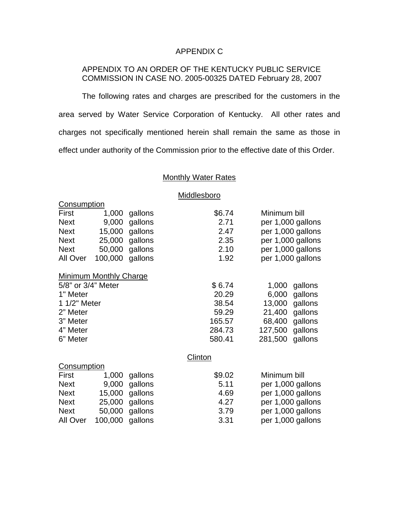## APPENDIX C

## APPENDIX TO AN ORDER OF THE KENTUCKY PUBLIC SERVICE COMMISSION IN CASE NO. 2005-00325 DATED February 28, 2007

The following rates and charges are prescribed for the customers in the area served by Water Service Corporation of Kentucky. All other rates and charges not specifically mentioned herein shall remain the same as those in effect under authority of the Commission prior to the effective date of this Order.

## **Monthly Water Rates**

**Middlesboro** 

|                    |                               |         | <u></u> |                  |                   |  |  |
|--------------------|-------------------------------|---------|---------|------------------|-------------------|--|--|
| Consumption        |                               |         |         |                  |                   |  |  |
| <b>First</b>       | 1,000                         | gallons | \$6.74  |                  | Minimum bill      |  |  |
| <b>Next</b>        | 9,000                         | gallons | 2.71    |                  | per 1,000 gallons |  |  |
| <b>Next</b>        | 15,000                        | gallons | 2.47    |                  | per 1,000 gallons |  |  |
| <b>Next</b>        | 25,000                        | gallons | 2.35    |                  | per 1,000 gallons |  |  |
| <b>Next</b>        | 50,000                        | gallons | 2.10    |                  | per 1,000 gallons |  |  |
| All Over           | 100,000                       | gallons | 1.92    |                  | per 1,000 gallons |  |  |
|                    | <b>Minimum Monthly Charge</b> |         |         |                  |                   |  |  |
| 5/8" or 3/4" Meter |                               | \$6.74  | 1,000   | gallons          |                   |  |  |
| 1" Meter           |                               |         | 20.29   | 6,000<br>gallons |                   |  |  |
| 1 1/2" Meter       |                               | 38.54   | 13,000  | gallons          |                   |  |  |
| 2" Meter           |                               | 59.29   | 21,400  | gallons          |                   |  |  |
| 3" Meter           |                               |         | 165.57  | 68,400           | gallons           |  |  |
| 4" Meter           |                               |         | 284.73  | 127,500          | gallons           |  |  |
| 6" Meter           |                               |         | 580.41  | 281,500          | gallons           |  |  |
|                    |                               |         | Clinton |                  |                   |  |  |
| <b>Consumption</b> |                               |         |         |                  |                   |  |  |
| First              | 1,000                         | gallons | \$9.02  | Minimum bill     |                   |  |  |
| <b>Next</b>        | 9,000                         | gallons | 5.11    |                  | per 1,000 gallons |  |  |
| <b>Next</b>        | 15,000                        | gallons | 4.69    |                  | per 1,000 gallons |  |  |
| <b>Next</b>        | 25,000                        | gallons | 4.27    |                  | per 1,000 gallons |  |  |
| <b>Next</b>        | 50,000                        | gallons | 3.79    |                  | per 1,000 gallons |  |  |
| All Over           | 100,000                       | gallons | 3.31    |                  | per 1,000 gallons |  |  |